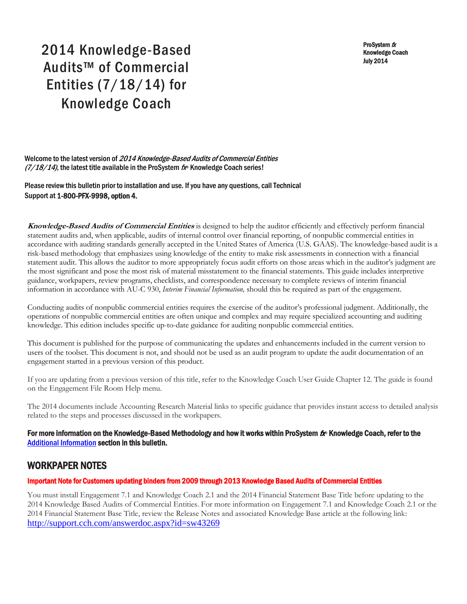ProSystem fx Knowledge Coach July 2014

# 2014 Knowledge-Based Audits™ of Commercial Entities (7/18/14) for Knowledge Coach

Welcome to the latest version of 2014 Knowledge-Based Audits of Commercial Entities  $(7/18/14)$ , the latest title available in the ProSystem  $f_{\text{R}}$  Knowledge Coach series!

Please review this bulletin prior to installation and use. If you have any questions, call Technical Support at 1-800-PFX-9998, option 4.

**Knowledge-Based Audits of Commercial Entities** is designed to help the auditor efficiently and effectively perform financial statement audits and, when applicable, audits of internal control over financial reporting, of nonpublic commercial entities in accordance with auditing standards generally accepted in the United States of America (U.S. GAAS). The knowledge-based audit is a risk-based methodology that emphasizes using knowledge of the entity to make risk assessments in connection with a financial statement audit. This allows the auditor to more appropriately focus audit efforts on those areas which in the auditor's judgment are the most significant and pose the most risk of material misstatement to the financial statements. This guide includes interpretive guidance, workpapers, review programs, checklists, and correspondence necessary to complete reviews of interim financial information in accordance with AU-C 930, *Interim Financial Information,* should this be required as part of the engagement.

Conducting audits of nonpublic commercial entities requires the exercise of the auditor's professional judgment. Additionally, the operations of nonpublic commercial entities are often unique and complex and may require specialized accounting and auditing knowledge. This edition includes specific up-to-date guidance for auditing nonpublic commercial entities.

This document is published for the purpose of communicating the updates and enhancements included in the current version to users of the toolset. This document is not, and should not be used as an audit program to update the audit documentation of an engagement started in a previous version of this product.

If you are updating from a previous version of this title, refer to the Knowledge Coach User Guide Chapter 12. The guide is found on the Engagement File Room Help menu.

The 2014 documents include Accounting Research Material links to specific guidance that provides instant access to detailed analysis related to the steps and processes discussed in the workpapers.

### For more information on the Knowledge-Based Methodology and how it works within ProSystem  $f_\text{R}$  Knowledge Coach, refer to the [Additional Information s](#page-2-0)ection in this bulletin.

# WORKPAPER NOTES

### Important Note for Customers updating binders from 2009 through 2013 Knowledge Based Audits of Commercial Entities

You must install Engagement 7.1 and Knowledge Coach 2.1 and the 2014 Financial Statement Base Title before updating to the 2014 Knowledge Based Audits of Commercial Entities. For more information on Engagement 7.1 and Knowledge Coach 2.1 or the 2014 Financial Statement Base Title, review the Release Notes and associated Knowledge Base article at the following link: <http://support.cch.com/answerdoc.aspx?id=sw43269>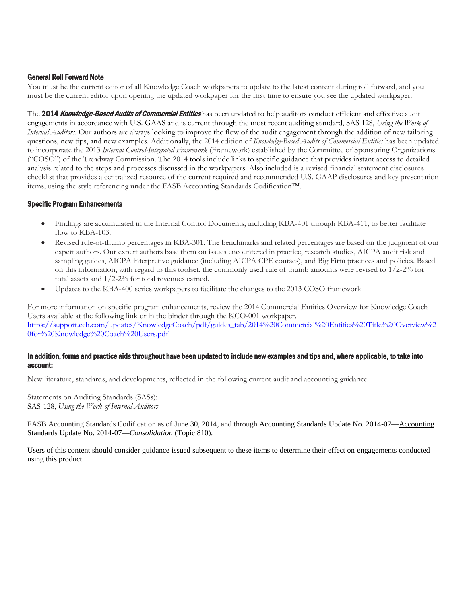#### General Roll Forward Note

You must be the current editor of all Knowledge Coach workpapers to update to the latest content during roll forward, and you must be the current editor upon opening the updated workpaper for the first time to ensure you see the updated workpaper.

The 2014 Knowledge-Based Audits of Commercial Entities has been updated to help auditors conduct efficient and effective audit engagements in accordance with U.S. GAAS and is current through the most recent auditing standard, SAS 128, *Using the Work of Internal Auditors*. Our authors are always looking to improve the flow of the audit engagement through the addition of new tailoring questions, new tips, and new examples. Additionally, the 2014 edition of *Knowledge-Based Audits of Commercial Entities* has been updated to incorporate the 2013 *Internal Control-Integrated Framework* (Framework) established by the Committee of Sponsoring Organizations ("COSO") of the Treadway Commission. The 2014 tools include links to specific guidance that provides instant access to detailed analysis related to the steps and processes discussed in the workpapers. Also included is a revised financial statement disclosures checklist that provides a centralized resource of the current required and recommended U.S. GAAP disclosures and key presentation items, using the style referencing under the FASB Accounting Standards Codification™.

#### Specific Program Enhancements

- Findings are accumulated in the Internal Control Documents, including KBA-401 through KBA-411, to better facilitate flow to KBA-103.
- Revised rule-of-thumb percentages in KBA-301. The benchmarks and related percentages are based on the judgment of our expert authors. Our expert authors base them on issues encountered in practice, research studies, AICPA audit risk and sampling guides, AICPA interpretive guidance (including AICPA CPE courses), and Big Firm practices and policies. Based on this information, with regard to this toolset, the commonly used rule of thumb amounts were revised to  $1/2-2\%$  for total assets and 1/2-2% for total revenues earned.
- Updates to the KBA-400 series workpapers to facilitate the changes to the 2013 COSO framework

For more information on specific program enhancements, review the 2014 Commercial Entities Overview for Knowledge Coach Users available at the following link or in the binder through the KCO-001 workpaper. [https://support.cch.com/updates/KnowledgeCoach/pdf/guides\\_tab/2014%20Commercial%20Entities%20Title%20Overview%2](https://support.cch.com/updates/KnowledgeCoach/pdf/guides_tab/2014%20Commercial%20Entities%20Title%20Overview%20for%20Knowledge%20Coach%20Users.pdf) [0for%20Knowledge%20Coach%20Users.pdf](https://support.cch.com/updates/KnowledgeCoach/pdf/guides_tab/2014%20Commercial%20Entities%20Title%20Overview%20for%20Knowledge%20Coach%20Users.pdf)

#### In addition, forms and practice aids throughout have been updated to include new examples and tips and, where applicable, to take into account:

New literature, standards, and developments, reflected in the following current audit and accounting guidance:

Statements on Auditing Standards (SASs): SAS-128, *Using the Work of Internal Auditors*

FASB Accounting Standards Codification as of June 30, 2014, and through Accounting Standards Update No. 2014-07—Accounting Standards Update No. 2014-07—*Consolidation* (Topic 810).

Users of this content should consider guidance issued subsequent to these items to determine their effect on engagements conducted using this product.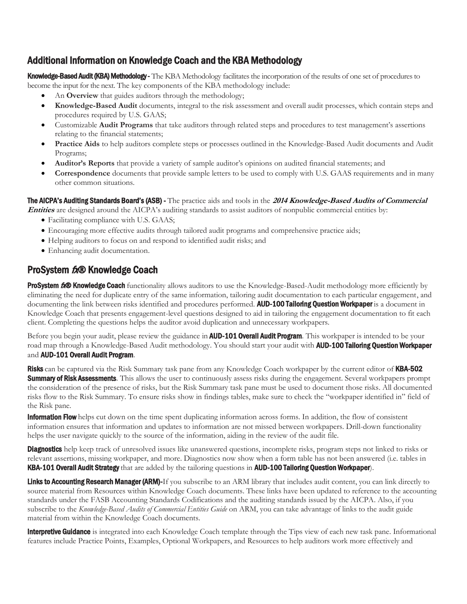# <span id="page-2-0"></span>Additional Information on Knowledge Coach and the KBA Methodology

Knowledge-Based Audit (KBA) Methodology - The KBA Methodology facilitates the incorporation of the results of one set of procedures to become the input for the next. The key components of the KBA methodology include:

- An **Overview** that guides auditors through the methodology;
- **Knowledge-Based Audit** documents, integral to the risk assessment and overall audit processes, which contain steps and procedures required by U.S. GAAS;
- Customizable **Audit Programs** that take auditors through related steps and procedures to test management's assertions relating to the financial statements;
- **Practice Aids** to help auditors complete steps or processes outlined in the Knowledge-Based Audit documents and Audit Programs;
- **Auditor's Reports** that provide a variety of sample auditor's opinions on audited financial statements; and
- **Correspondence** documents that provide sample letters to be used to comply with U.S. GAAS requirements and in many other common situations.

The AICPA's Auditing Standards Board's (ASB) - The practice aids and tools in the **2014 Knowledge-Based Audits of Commercial** 

**Entities** are designed around the AICPA's auditing standards to assist auditors of nonpublic commercial entities by:

- Facilitating compliance with U.S. GAAS;
- Encouraging more effective audits through tailored audit programs and comprehensive practice aids;
- Helping auditors to focus on and respond to identified audit risks; and
- Enhancing audit documentation.

# ProSystem tx® Knowledge Coach

ProSystem 600 Knowledge Coach functionality allows auditors to use the Knowledge-Based-Audit methodology more efficiently by eliminating the need for duplicate entry of the same information, tailoring audit documentation to each particular engagement, and documenting the link between risks identified and procedures performed. **AUD-100 Tailoring Question Workpaper** is a document in Knowledge Coach that presents engagement-level questions designed to aid in tailoring the engagement documentation to fit each client. Completing the questions helps the auditor avoid duplication and unnecessary workpapers.

Before you begin your audit, please review the guidance in **AUD-101 Overall Audit Program**. This workpaper is intended to be your road map through a Knowledge-Based Audit methodology. You should start your audit with **AUD-100 Tailoring Question Workpaper** and AUD-101 Overall Audit Program.

Risks can be captured via the Risk Summary task pane from any Knowledge Coach workpaper by the current editor of KBA-502 **Summary of Risk Assessments**. This allows the user to continuously assess risks during the engagement. Several workpapers prompt the consideration of the presence of risks, but the Risk Summary task pane must be used to document those risks. All documented risks flow to the Risk Summary. To ensure risks show in findings tables, make sure to check the "workpaper identified in" field of the Risk pane.

**Information Flow** helps cut down on the time spent duplicating information across forms. In addition, the flow of consistent information ensures that information and updates to information are not missed between workpapers. Drill-down functionality helps the user navigate quickly to the source of the information, aiding in the review of the audit file.

**Diagnostics** help keep track of unresolved issues like unanswered questions, incomplete risks, program steps not linked to risks or relevant assertions, missing workpaper, and more. Diagnostics now show when a form table has not been answered (i.e. tables in KBA-101 Overall Audit Strategy that are added by the tailoring questions in AUD-100 Tailoring Question Workpaper).

Links to Accounting Research Manager (ARM)-If you subscribe to an ARM library that includes audit content, you can link directly to source material from Resources within Knowledge Coach documents. These links have been updated to reference to the accounting standards under the FASB Accounting Standards Codifications and the auditing standards issued by the AICPA. Also, if you subscribe to the *Knowledge-Based Audits of Commercial Entities Guide* on ARM, you can take advantage of links to the audit guide material from within the Knowledge Coach documents.

**Interpretive Guidance** is integrated into each Knowledge Coach template through the Tips view of each new task pane. Informational features include Practice Points, Examples, Optional Workpapers, and Resources to help auditors work more effectively and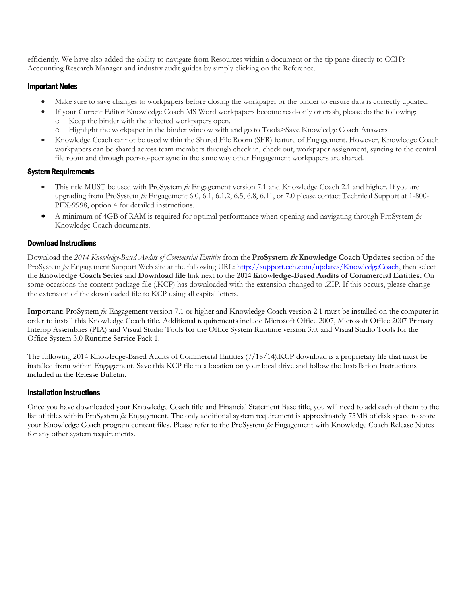efficiently. We have also added the ability to navigate from Resources within a document or the tip pane directly to CCH's Accounting Research Manager and industry audit guides by simply clicking on the Reference.

## Important Notes

- Make sure to save changes to workpapers before closing the workpaper or the binder to ensure data is correctly updated.
- If your Current Editor Knowledge Coach MS Word workpapers become read-only or crash, please do the following: o Keep the binder with the affected workpapers open.
	- o Highlight the workpaper in the binder window with and go to Tools>Save Knowledge Coach Answers
- Knowledge Coach cannot be used within the Shared File Room (SFR) feature of Engagement. However, Knowledge Coach workpapers can be shared across team members through check in, check out, workpaper assignment, syncing to the central file room and through peer-to-peer sync in the same way other Engagement workpapers are shared.

### System Requirements

- This title MUST be used with ProSystem *fx* Engagement version 7.1 and Knowledge Coach 2.1 and higher. If you are upgrading from ProSystem *fx* Engagement 6.0, 6.1, 6.1.2, 6.5, 6.8, 6.11, or 7.0 please contact Technical Support at 1-800- PFX-9998, option 4 for detailed instructions.
- A minimum of 4GB of RAM is required for optimal performance when opening and navigating through ProSystem *fx*  Knowledge Coach documents.

## Download Instructions

Download the *2014 Knowledge-Based Audits of Commercial Entities* from the **ProSystem fx Knowledge Coach Updates** section of the ProSystem  $fx$  Engagement Support Web site at the following URL: [http://support.cch.com/updates/KnowledgeCoach,](http://support.cch.com/updates/KnowledgeCoach) then select the **Knowledge Coach Series** and **Download file** link next to the **2014 Knowledge-Based Audits of Commercial Entities.** On some occasions the content package file (.KCP) has downloaded with the extension changed to .ZIP. If this occurs, please change the extension of the downloaded file to KCP using all capital letters.

**Important**: ProSystem *fx* Engagement version 7.1 or higher and Knowledge Coach version 2.1 must be installed on the computer in order to install this Knowledge Coach title. Additional requirements include Microsoft Office 2007, Microsoft Office 2007 Primary Interop Assemblies (PIA) and Visual Studio Tools for the Office System Runtime version 3.0, and Visual Studio Tools for the Office System 3.0 Runtime Service Pack 1.

The following 2014 Knowledge-Based Audits of Commercial Entities (7/18/14).KCP download is a proprietary file that must be installed from within Engagement. Save this KCP file to a location on your local drive and follow the Installation Instructions included in the Release Bulletin.

### Installation Instructions

Once you have downloaded your Knowledge Coach title and Financial Statement Base title, you will need to add each of them to the list of titles within ProSystem *fx* Engagement. The only additional system requirement is approximately 75MB of disk space to store your Knowledge Coach program content files. Please refer to the ProSystem *fx* Engagement with Knowledge Coach Release Notes for any other system requirements.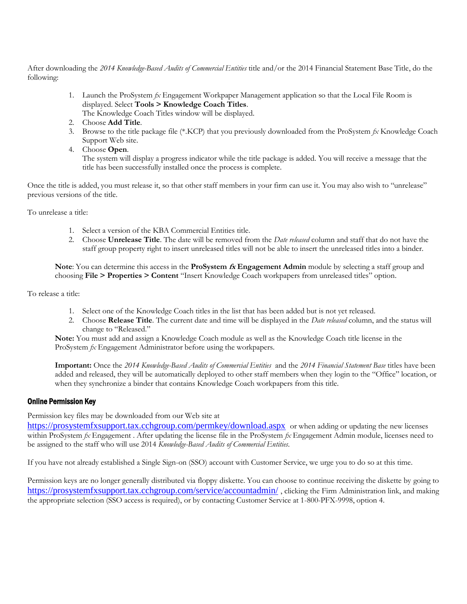After downloading the *2014 Knowledge-Based Audits of Commercial Entities* title and/or the 2014 Financial Statement Base Title, do the following:

- 1. Launch the ProSystem *fx* Engagement Workpaper Management application so that the Local File Room is displayed. Select **Tools > Knowledge Coach Titles**.
	- The Knowledge Coach Titles window will be displayed.
- 2. Choose **Add Title**.
- 3. Browse to the title package file (\*.KCP) that you previously downloaded from the ProSystem *fx* Knowledge Coach Support Web site.
- 4. Choose **Open**.

The system will display a progress indicator while the title package is added. You will receive a message that the title has been successfully installed once the process is complete.

Once the title is added, you must release it, so that other staff members in your firm can use it. You may also wish to "unrelease" previous versions of the title.

To unrelease a title:

- 1. Select a version of the KBA Commercial Entities title.
- 2. Choose **Unrelease Title**. The date will be removed from the *Date released* column and staff that do not have the staff group property right to insert unreleased titles will not be able to insert the unreleased titles into a binder.

**Note**: You can determine this access in the **ProSystem fx Engagement Admin** module by selecting a staff group and choosing **File > Properties > Content** "Insert Knowledge Coach workpapers from unreleased titles" option.

To release a title:

- 1. Select one of the Knowledge Coach titles in the list that has been added but is not yet released.
- 2. Choose **Release Title**. The current date and time will be displayed in the *Date released* column, and the status will change to "Released."

**Note:** You must add and assign a Knowledge Coach module as well as the Knowledge Coach title license in the ProSystem *fx* Engagement Administrator before using the workpapers.

**Important:** Once the *2014 Knowledge-Based Audits of Commercial Entities* and the *2014 Financial Statement Base* titles have been added and released, they will be automatically deployed to other staff members when they login to the "Office" location, or when they synchronize a binder that contains Knowledge Coach workpapers from this title.

### Online Permission Key

Permission key files may be downloaded from our Web site at

<https://prosystemfxsupport.tax.cchgroup.com/permkey/download.aspx> or when adding or updating the new licenses within ProSystem *fx* Engagement . After updating the license file in the ProSystem *fx* Engagement Admin module, licenses need to be assigned to the staff who will use 2014 *Knowledge-Based Audits of Commercial Entities*.

If you have not already established a Single Sign-on (SSO) account with Customer Service, we urge you to do so at this time.

Permission keys are no longer generally distributed via floppy diskette. You can choose to continue receiving the diskette by going to <https://prosystemfxsupport.tax.cchgroup.com/service/accountadmin/> , clicking the Firm Administration link, and making the appropriate selection (SSO access is required), or by contacting Customer Service at 1-800-PFX-9998, option 4.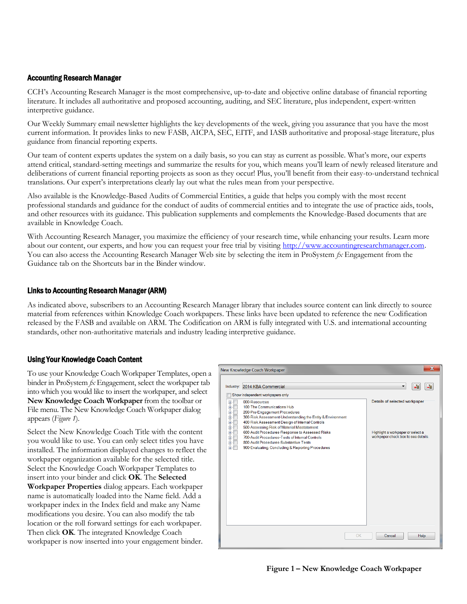## Accounting Research Manager

CCH's Accounting Research Manager is the most comprehensive, up-to-date and objective online database of financial reporting literature. It includes all authoritative and proposed accounting, auditing, and SEC literature, plus independent, expert-written interpretive guidance.

Our Weekly Summary email newsletter highlights the key developments of the week, giving you assurance that you have the most current information. It provides links to new FASB, AICPA, SEC, EITF, and IASB authoritative and proposal-stage literature, plus guidance from financial reporting experts.

Our team of content experts updates the system on a daily basis, so you can stay as current as possible. What's more, our experts attend critical, standard-setting meetings and summarize the results for you, which means you'll learn of newly released literature and deliberations of current financial reporting projects as soon as they occur! Plus, you'll benefit from their easy-to-understand technical translations. Our expert's interpretations clearly lay out what the rules mean from your perspective.

Also available is the Knowledge-Based Audits of Commercial Entities, a guide that helps you comply with the most recent professional standards and guidance for the conduct of audits of commercial entities and to integrate the use of practice aids, tools, and other resources with its guidance. This publication supplements and complements the Knowledge-Based documents that are available in Knowledge Coach.

With Accounting Research Manager, you maximize the efficiency of your research time, while enhancing your results. Learn more about our content, our experts, and how you can request your free trial by visiting [http://www.accountingresearchmanager.com.](http://www.accountingresearchmanager.com/)  You can also access the Accounting Research Manager Web site by selecting the item in ProSystem *fx* Engagement from the Guidance tab on the Shortcuts bar in the Binder window.

### Links to Accounting Research Manager (ARM)

As indicated above, subscribers to an Accounting Research Manager library that includes source content can link directly to source material from references within Knowledge Coach workpapers. These links have been updated to reference the new Codification released by the FASB and available on ARM. The Codification on ARM is fully integrated with U.S. and international accounting standards, other non-authoritative materials and industry leading interpretive guidance.

### Using Your Knowledge Coach Content

To use your Knowledge Coach Workpaper Templates, open a binder in ProSystem *fx* Engagement, select the workpaper tab into which you would like to insert the workpaper, and select **New Knowledge Coach Workpaper** from the toolbar or File menu. The New Knowledge Coach Workpaper dialog appears (*Figure 1*).

Select the New Knowledge Coach Title with the content you would like to use. You can only select titles you have installed. The information displayed changes to reflect the workpaper organization available for the selected title. Select the Knowledge Coach Workpaper Templates to insert into your binder and click **OK**. The **Selected Workpaper Properties** dialog appears. Each workpaper name is automatically loaded into the Name field. Add a workpaper index in the Index field and make any Name modifications you desire. You can also modify the tab location or the roll forward settings for each workpaper. Then click **OK**. The integrated Knowledge Coach workpaper is now inserted into your engagement binder.